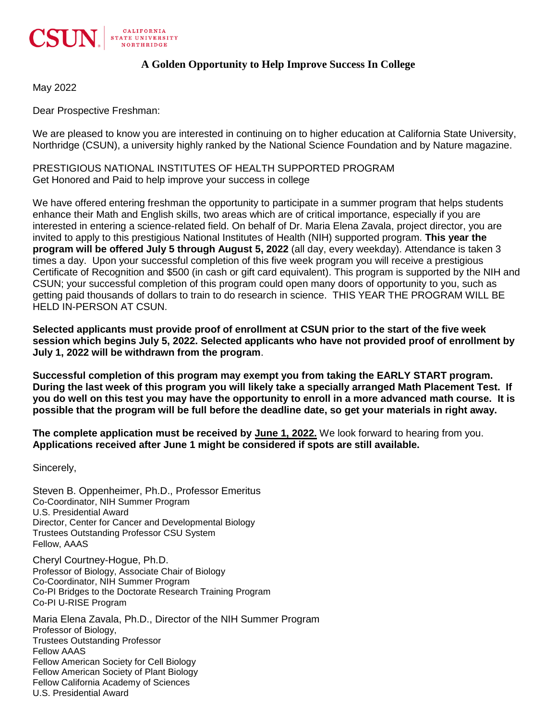

## **A Golden Opportunity to Help Improve Success In College**

May 2022

Dear Prospective Freshman:

We are pleased to know you are interested in continuing on to higher education at California State University, Northridge (CSUN), a university highly ranked by the National Science Foundation and by Nature magazine.

PRESTIGIOUS NATIONAL INSTITUTES OF HEALTH SUPPORTED PROGRAM Get Honored and Paid to help improve your success in college

We have offered entering freshman the opportunity to participate in a summer program that helps students enhance their Math and English skills, two areas which are of critical importance, especially if you are interested in entering a science-related field. On behalf of Dr. Maria Elena Zavala, project director, you are invited to apply to this prestigious National Institutes of Health (NIH) supported program. **This year the program will be offered July 5 through August 5, 2022** (all day, every weekday). Attendance is taken 3 times a day. Upon your successful completion of this five week program you will receive a prestigious Certificate of Recognition and \$500 (in cash or gift card equivalent). This program is supported by the NIH and CSUN; your successful completion of this program could open many doors of opportunity to you, such as getting paid thousands of dollars to train to do research in science. THIS YEAR THE PROGRAM WILL BE HELD IN-PERSON AT CSUN.

**Selected applicants must provide proof of enrollment at CSUN prior to the start of the five week session which begins July 5, 2022. Selected applicants who have not provided proof of enrollment by July 1, 2022 will be withdrawn from the program**.

**Successful completion of this program may exempt you from taking the EARLY START program. During the last week of this program you will likely take a specially arranged Math Placement Test. If you do well on this test you may have the opportunity to enroll in a more advanced math course. It is possible that the program will be full before the deadline date, so get your materials in right away.** 

**The complete application must be received by June 1, 2022.** We look forward to hearing from you. **Applications received after June 1 might be considered if spots are still available.**

Sincerely,

Steven B. Oppenheimer, Ph.D., Professor Emeritus Co-Coordinator, NIH Summer Program U.S. Presidential Award Director, Center for Cancer and Developmental Biology Trustees Outstanding Professor CSU System Fellow, AAAS

Cheryl Courtney-Hogue, Ph.D. Professor of Biology, Associate Chair of Biology Co-Coordinator, NIH Summer Program Co-PI Bridges to the Doctorate Research Training Program Co-PI U-RISE Program

Maria Elena Zavala, Ph.D., Director of the NIH Summer Program Professor of Biology, Trustees Outstanding Professor Fellow AAAS Fellow American Society for Cell Biology Fellow American Society of Plant Biology Fellow California Academy of Sciences U.S. Presidential Award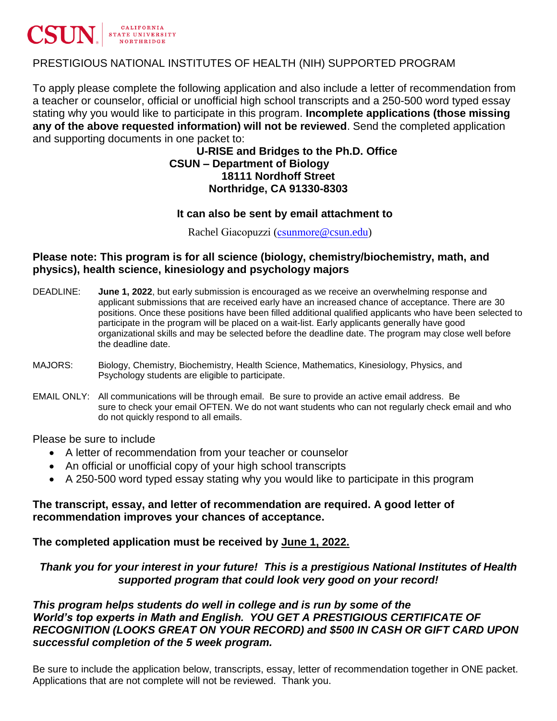

# PRESTIGIOUS NATIONAL INSTITUTES OF HEALTH (NIH) SUPPORTED PROGRAM

To apply please complete the following application and also include a letter of recommendation from a teacher or counselor, official or unofficial high school transcripts and a 250-500 word typed essay stating why you would like to participate in this program. **Incomplete applications (those missing any of the above requested information) will not be reviewed**. Send the completed application and supporting documents in one packet to:

### **U-RISE and Bridges to the Ph.D. Office CSUN – Department of Biology 18111 Nordhoff Street Northridge, CA 91330-8303**

#### **It can also be sent by email attachment to**

Rachel Giacopuzzi (csunmore[@csun.edu\)](mailto:rachel.giacopuzzi@csun.edu)

#### **Please note: This program is for all science (biology, chemistry/biochemistry, math, and physics), health science, kinesiology and psychology majors**

- DEADLINE: **June 1, 2022**, but early submission is encouraged as we receive an overwhelming response and applicant submissions that are received early have an increased chance of acceptance. There are 30 positions. Once these positions have been filled additional qualified applicants who have been selected to participate in the program will be placed on a wait-list. Early applicants generally have good organizational skills and may be selected before the deadline date. The program may close well before the deadline date.
- MAJORS: Biology, Chemistry, Biochemistry, Health Science, Mathematics, Kinesiology, Physics, and Psychology students are eligible to participate.
- EMAIL ONLY: All communications will be through email. Be sure to provide an active email address. Be sure to check your email OFTEN. We do not want students who can not regularly check email and who do not quickly respond to all emails.

Please be sure to include

- A letter of recommendation from your teacher or counselor
- An official or unofficial copy of your high school transcripts
- A 250-500 word typed essay stating why you would like to participate in this program

## **The transcript, essay, and letter of recommendation are required. A good letter of recommendation improves your chances of acceptance.**

## **The completed application must be received by June 1, 2022.**

# *Thank you for your interest in your future! This is a prestigious National Institutes of Health supported program that could look very good on your record!*

# *This program helps students do well in college and is run by some of the World's top experts in Math and English. YOU GET A PRESTIGIOUS CERTIFICATE OF RECOGNITION (LOOKS GREAT ON YOUR RECORD) and \$500 IN CASH OR GIFT CARD UPON successful completion of the 5 week program.*

Be sure to include the application below, transcripts, essay, letter of recommendation together in ONE packet. Applications that are not complete will not be reviewed. Thank you.